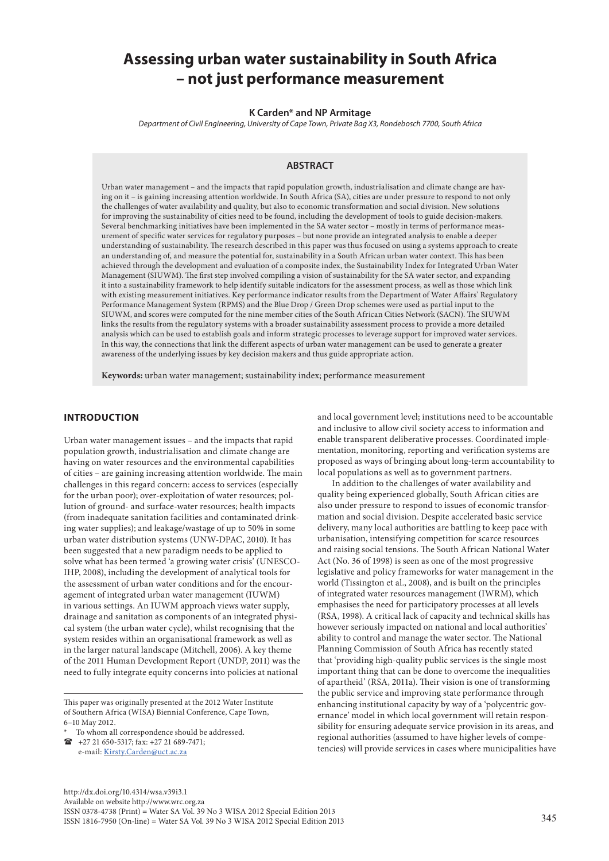# **Assessing urban water sustainability in South Africa – not just performance measurement**

# **K Carden\* and NP Armitage**

*Department of Civil Engineering, University of Cape Town, Private Bag X3, Rondebosch 7700, South Africa*

# **ABSTRACT**

Urban water management – and the impacts that rapid population growth, industrialisation and climate change are having on it – is gaining increasing attention worldwide. In South Africa (SA), cities are under pressure to respond to not only the challenges of water availability and quality, but also to economic transformation and social division. New solutions for improving the sustainability of cities need to be found, including the development of tools to guide decision-makers. Several benchmarking initiatives have been implemented in the SA water sector – mostly in terms of performance measurement of specific water services for regulatory purposes – but none provide an integrated analysis to enable a deeper understanding of sustainability. The research described in this paper was thus focused on using a systems approach to create an understanding of, and measure the potential for, sustainability in a South African urban water context. This has been achieved through the development and evaluation of a composite index, the Sustainability Index for Integrated Urban Water Management (SIUWM). The first step involved compiling a vision of sustainability for the SA water sector, and expanding it into a sustainability framework to help identify suitable indicators for the assessment process, as well as those which link with existing measurement initiatives. Key performance indicator results from the Department of Water Affairs' Regulatory Performance Management System (RPMS) and the Blue Drop / Green Drop schemes were used as partial input to the SIUWM, and scores were computed for the nine member cities of the South African Cities Network (SACN). The SIUWM links the results from the regulatory systems with a broader sustainability assessment process to provide a more detailed analysis which can be used to establish goals and inform strategic processes to leverage support for improved water services. In this way, the connections that link the different aspects of urban water management can be used to generate a greater awareness of the underlying issues by key decision makers and thus guide appropriate action.

**Keywords:** urban water management; sustainability index; performance measurement

# **INTRODUCTION**

Urban water management issues – and the impacts that rapid population growth, industrialisation and climate change are having on water resources and the environmental capabilities of cities – are gaining increasing attention worldwide. The main challenges in this regard concern: access to services (especially for the urban poor); over-exploitation of water resources; pollution of ground- and surface-water resources; health impacts (from inadequate sanitation facilities and contaminated drinking water supplies); and leakage/wastage of up to 50% in some urban water distribution systems (UNW-DPAC, 2010). It has been suggested that a new paradigm needs to be applied to solve what has been termed 'a growing water crisis' (UNESCO-IHP, 2008), including the development of analytical tools for the assessment of urban water conditions and for the encouragement of integrated urban water management (IUWM) in various settings. An IUWM approach views water supply, drainage and sanitation as components of an integrated physical system (the urban water cycle), whilst recognising that the system resides within an organisational framework as well as in the larger natural landscape (Mitchell, 2006). A key theme of the 2011 Human Development Report (UNDP, 2011) was the need to fully integrate equity concerns into policies at national

and local government level; institutions need to be accountable and inclusive to allow civil society access to information and enable transparent deliberative processes. Coordinated implementation, monitoring, reporting and verification systems are proposed as ways of bringing about long-term accountability to local populations as well as to government partners.

In addition to the challenges of water availability and quality being experienced globally, South African cities are also under pressure to respond to issues of economic transformation and social division. Despite accelerated basic service delivery, many local authorities are battling to keep pace with urbanisation, intensifying competition for scarce resources and raising social tensions. The South African National Water Act (No. 36 of 1998) is seen as one of the most progressive legislative and policy frameworks for water management in the world (Tissington et al., 2008), and is built on the principles of integrated water resources management (IWRM), which emphasises the need for participatory processes at all levels (RSA, 1998). A critical lack of capacity and technical skills has however seriously impacted on national and local authorities' ability to control and manage the water sector. The National Planning Commission of South Africa has recently stated that 'providing high-quality public services is the single most important thing that can be done to overcome the inequalities of apartheid' (RSA, 2011a). Their vision is one of transforming the public service and improving state performance through enhancing institutional capacity by way of a 'polycentric governance' model in which local government will retain responsibility for ensuring adequate service provision in its areas, and regional authorities (assumed to have higher levels of competencies) will provide services in cases where municipalities have

This paper was originally presented at the 2012 Water Institute of Southern Africa (WISA) Biennial Conference, Cape Town, 6–10 May 2012.

To whom all correspondence should be addressed.

+27 21 650-5317; fax: +27 21 689-7471; e-mail: [Kirsty.Carden@uct.ac.za](mailto:Kirsty.Carden@uct.ac.za)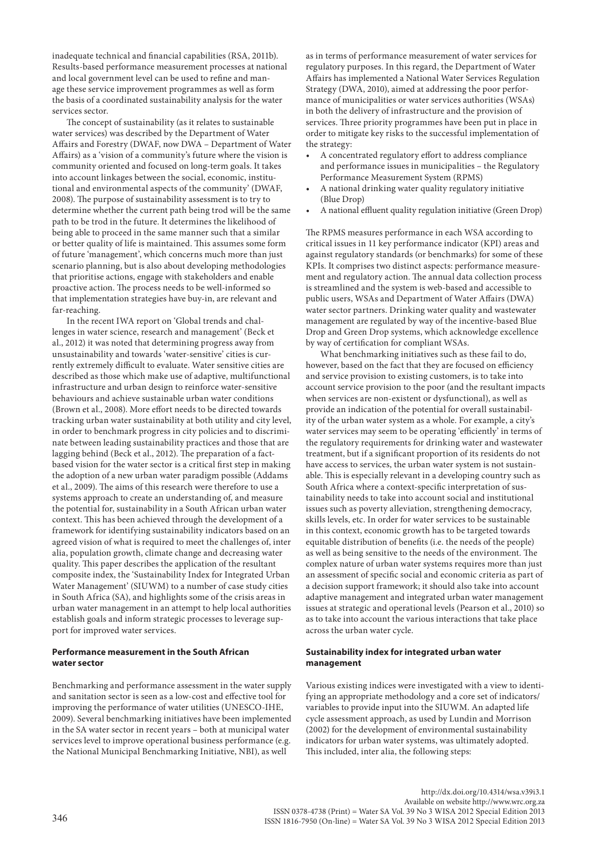inadequate technical and financial capabilities (RSA, 2011b). Results-based performance measurement processes at national and local government level can be used to refine and manage these service improvement programmes as well as form the basis of a coordinated sustainability analysis for the water services sector.

The concept of sustainability (as it relates to sustainable water services) was described by the Department of Water Affairs and Forestry (DWAF, now DWA – Department of Water Affairs) as a 'vision of a community's future where the vision is community oriented and focused on long-term goals. It takes into account linkages between the social, economic, institutional and environmental aspects of the community' (DWAF, 2008). The purpose of sustainability assessment is to try to determine whether the current path being trod will be the same path to be trod in the future. It determines the likelihood of being able to proceed in the same manner such that a similar or better quality of life is maintained. This assumes some form of future 'management', which concerns much more than just scenario planning, but is also about developing methodologies that prioritise actions, engage with stakeholders and enable proactive action. The process needs to be well-informed so that implementation strategies have buy-in, are relevant and far-reaching.

In the recent IWA report on 'Global trends and challenges in water science, research and management' (Beck et al., 2012) it was noted that determining progress away from unsustainability and towards 'water-sensitive' cities is currently extremely difficult to evaluate. Water sensitive cities are described as those which make use of adaptive, multifunctional infrastructure and urban design to reinforce water-sensitive behaviours and achieve sustainable urban water conditions (Brown et al., 2008). More effort needs to be directed towards tracking urban water sustainability at both utility and city level, in order to benchmark progress in city policies and to discriminate between leading sustainability practices and those that are lagging behind (Beck et al., 2012). The preparation of a factbased vision for the water sector is a critical first step in making the adoption of a new urban water paradigm possible (Addams et al., 2009). The aims of this research were therefore to use a systems approach to create an understanding of, and measure the potential for, sustainability in a South African urban water context. This has been achieved through the development of a framework for identifying sustainability indicators based on an agreed vision of what is required to meet the challenges of, inter alia, population growth, climate change and decreasing water quality. This paper describes the application of the resultant composite index, the 'Sustainability Index for Integrated Urban Water Management' (SIUWM) to a number of case study cities in South Africa (SA), and highlights some of the crisis areas in urban water management in an attempt to help local authorities establish goals and inform strategic processes to leverage support for improved water services.

## **Performance measurement in the South African water sector**

Benchmarking and performance assessment in the water supply and sanitation sector is seen as a low-cost and effective tool for improving the performance of water utilities (UNESCO-IHE, 2009). Several benchmarking initiatives have been implemented in the SA water sector in recent years – both at municipal water services level to improve operational business performance (e.g. the National Municipal Benchmarking Initiative, NBI), as well

as in terms of performance measurement of water services for regulatory purposes. In this regard, the Department of Water Affairs has implemented a National Water Services Regulation Strategy (DWA, 2010), aimed at addressing the poor performance of municipalities or water services authorities (WSAs) in both the delivery of infrastructure and the provision of services. Three priority programmes have been put in place in order to mitigate key risks to the successful implementation of the strategy:

- A concentrated regulatory effort to address compliance and performance issues in municipalities – the Regulatory Performance Measurement System (RPMS)
- A national drinking water quality regulatory initiative (Blue Drop)
- A national effluent quality regulation initiative (Green Drop)

The RPMS measures performance in each WSA according to critical issues in 11 key performance indicator (KPI) areas and against regulatory standards (or benchmarks) for some of these KPIs. It comprises two distinct aspects: performance measurement and regulatory action. The annual data collection process is streamlined and the system is web-based and accessible to public users, WSAs and Department of Water Affairs (DWA) water sector partners. Drinking water quality and wastewater management are regulated by way of the incentive-based Blue Drop and Green Drop systems, which acknowledge excellence by way of certification for compliant WSAs.

What benchmarking initiatives such as these fail to do, however, based on the fact that they are focused on efficiency and service provision to existing customers, is to take into account service provision to the poor (and the resultant impacts when services are non-existent or dysfunctional), as well as provide an indication of the potential for overall sustainability of the urban water system as a whole. For example, a city's water services may seem to be operating 'efficiently' in terms of the regulatory requirements for drinking water and wastewater treatment, but if a significant proportion of its residents do not have access to services, the urban water system is not sustainable. This is especially relevant in a developing country such as South Africa where a context-specific interpretation of sustainability needs to take into account social and institutional issues such as poverty alleviation, strengthening democracy, skills levels, etc. In order for water services to be sustainable in this context, economic growth has to be targeted towards equitable distribution of benefits (i.e. the needs of the people) as well as being sensitive to the needs of the environment*.* The complex nature of urban water systems requires more than just an assessment of specific social and economic criteria as part of a decision support framework; it should also take into account adaptive management and integrated urban water management issues at strategic and operational levels (Pearson et al., 2010) so as to take into account the various interactions that take place across the urban water cycle.

### **Sustainability index for integrated urban water management**

Various existing indices were investigated with a view to identifying an appropriate methodology and a core set of indicators/ variables to provide input into the SIUWM. An adapted life cycle assessment approach, as used by Lundin and Morrison (2002) for the development of environmental sustainability indicators for urban water systems, was ultimately adopted. This included, inter alia, the following steps: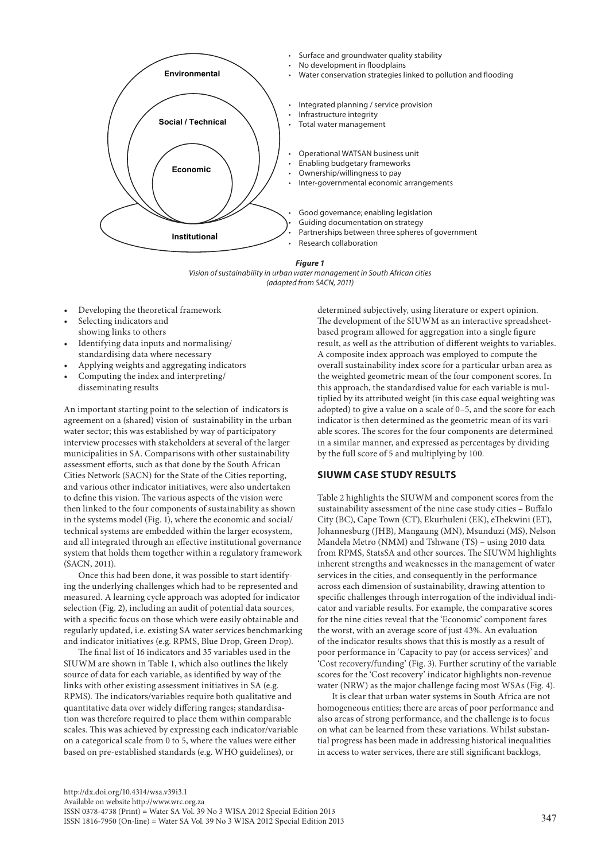

*Vision of sustainability in urban water management in South African cities (adapted from SACN, 2011)*

- Developing the theoretical framework
- Selecting indicators and showing links to others
- Identifying data inputs and normalising/ standardising data where necessary
- Applying weights and aggregating indicators
- Computing the index and interpreting/ disseminating results

An important starting point to the selection of indicators is agreement on a (shared) vision of sustainability in the urban water sector; this was established by way of participatory interview processes with stakeholders at several of the larger municipalities in SA. Comparisons with other sustainability assessment efforts, such as that done by the South African Cities Network (SACN) for the State of the Cities reporting, and various other indicator initiatives, were also undertaken to define this vision. The various aspects of the vision were then linked to the four components of sustainability as shown in the systems model (Fig. 1), where the economic and social/ technical systems are embedded within the larger ecosystem, and all integrated through an effective institutional governance system that holds them together within a regulatory framework (SACN, 2011).

Once this had been done, it was possible to start identifying the underlying challenges which had to be represented and measured. A learning cycle approach was adopted for indicator selection (Fig. 2), including an audit of potential data sources, with a specific focus on those which were easily obtainable and regularly updated, i.e. existing SA water services benchmarking and indicator initiatives (e.g. RPMS, Blue Drop, Green Drop).

The final list of 16 indicators and 35 variables used in the SIUWM are shown in Table 1, which also outlines the likely source of data for each variable, as identified by way of the links with other existing assessment initiatives in SA (e.g. RPMS). The indicators/variables require both qualitative and quantitative data over widely differing ranges; standardisation was therefore required to place them within comparable scales. This was achieved by expressing each indicator/variable on a categorical scale from 0 to 5, where the values were either based on pre-established standards (e.g. WHO guidelines), or

determined subjectively, using literature or expert opinion. The development of the SIUWM as an interactive spreadsheetbased program allowed for aggregation into a single figure result, as well as the attribution of different weights to variables. A composite index approach was employed to compute the overall sustainability index score for a particular urban area as the weighted geometric mean of the four component scores. In this approach, the standardised value for each variable is multiplied by its attributed weight (in this case equal weighting was adopted) to give a value on a scale of 0–5, and the score for each indicator is then determined as the geometric mean of its variable scores. The scores for the four components are determined in a similar manner, and expressed as percentages by dividing by the full score of 5 and multiplying by 100.

# **SIUWM CASE STUDY RESULTS**

Table 2 highlights the SIUWM and component scores from the sustainability assessment of the nine case study cities – Buffalo City (BC), Cape Town (CT), Ekurhuleni (EK), eThekwini (ET), Johannesburg (JHB), Mangaung (MN), Msunduzi (MS), Nelson Mandela Metro (NMM) and Tshwane (TS) – using 2010 data from RPMS, StatsSA and other sources. The SIUWM highlights inherent strengths and weaknesses in the management of water services in the cities, and consequently in the performance across each dimension of sustainability, drawing attention to specific challenges through interrogation of the individual indicator and variable results. For example, the comparative scores for the nine cities reveal that the 'Economic' component fares the worst, with an average score of just 43%. An evaluation of the indicator results shows that this is mostly as a result of poor performance in 'Capacity to pay (or access services)' and 'Cost recovery/funding' (Fig. 3). Further scrutiny of the variable scores for the 'Cost recovery' indicator highlights non-revenue water (NRW) as the major challenge facing most WSAs (Fig. 4).

It is clear that urban water systems in South Africa are not homogeneous entities; there are areas of poor performance and also areas of strong performance, and the challenge is to focus on what can be learned from these variations. Whilst substantial progress has been made in addressing historical inequalities in access to water services, there are still significant backlogs,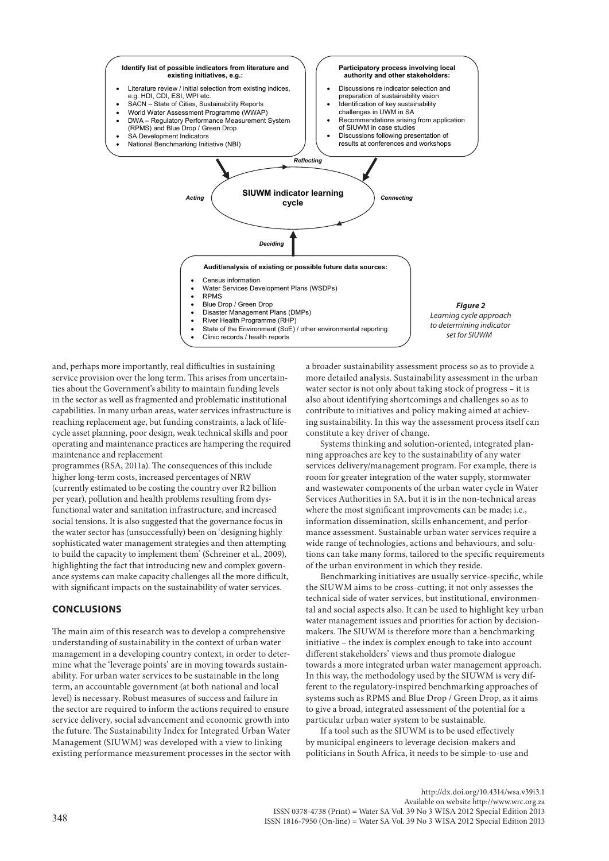

and, perhaps more importantly, real difficulties in sustaining service provision over the long term. This arises from uncertainties about the Government's ability to maintain funding levels in the sector as well as fragmented and problematic institutional capabilities. In many urban areas, water services infrastructure is reaching replacement age, but funding constraints, a lack of lifecycle asset planning, poor design, weak technical skills and poor operating and maintenance practices are hampering the required maintenance and replacement

programmes (RSA, 2011a). The consequences of this include higher long-term costs, increased percentages of NRW (currently estimated to be costing the country over R2 billion per year), pollution and health problems resulting from dysfunctional water and sanitation infrastructure, and increased social tensions. It is also suggested that the governance focus in the water sector has (unsuccessfully) been on 'designing highly sophisticated water management strategies and then attempting to build the capacity to implement them' (Schreiner et al., 2009), highlighting the fact that introducing new and complex governance systems can make capacity challenges all the more difficult, with significant impacts on the sustainability of water services.

# **CONCLUSIONS**

The main aim of this research was to develop a comprehensive understanding of sustainability in the context of urban water management in a developing country context, in order to determine what the 'leverage points' are in moving towards sustainability. For urban water services to be sustainable in the long term, an accountable government (at both national and local level) is necessary. Robust measures of success and failure in the sector are required to inform the actions required to ensure service delivery, social advancement and economic growth into the future. The Sustainability Index for Integrated Urban Water Management (SIUWM) was developed with a view to linking existing performance measurement processes in the sector with a broader sustainability assessment process so as to provide a more detailed analysis. Sustainability assessment in the urban water sector is not only about taking stock of progress – it is also about identifying shortcomings and challenges so as to contribute to initiatives and policy making aimed at achieving sustainability. In this way the assessment process itself can constitute a key driver of change.

Systems thinking and solution-oriented, integrated planning approaches are key to the sustainability of any water services delivery/management program. For example, there is room for greater integration of the water supply, stormwater and wastewater components of the urban water cycle in Water Services Authorities in SA, but it is in the non-technical areas where the most significant improvements can be made; i.e., information dissemination, skills enhancement, and performance assessment. Sustainable urban water services require a wide range of technologies, actions and behaviours, and solutions can take many forms, tailored to the specific requirements of the urban environment in which they reside.

Benchmarking initiatives are usually service-specific, while the SIUWM aims to be cross-cutting; it not only assesses the technical side of water services, but institutional, environmental and social aspects also. It can be used to highlight key urban water management issues and priorities for action by decisionmakers. The SIUWM is therefore more than a benchmarking initiative – the index is complex enough to take into account different stakeholders' views and thus promote dialogue towards a more integrated urban water management approach. In this way, the methodology used by the SIUWM is very different to the regulatory-inspired benchmarking approaches of systems such as RPMS and Blue Drop / Green Drop, as it aims to give a broad, integrated assessment of the potential for a particular urban water system to be sustainable.

If a tool such as the SIUWM is to be used effectively by municipal engineers to leverage decision-makers and politicians in South Africa, it needs to be simple-to-use and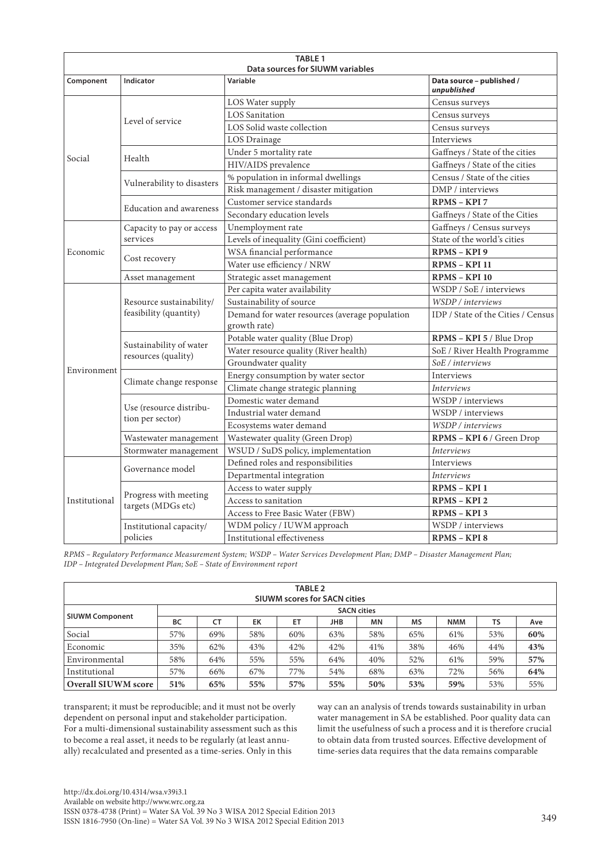| <b>TABLE 1</b><br>Data sources for SIUWM variables |                                                    |                                                                |                                          |  |  |  |  |  |  |
|----------------------------------------------------|----------------------------------------------------|----------------------------------------------------------------|------------------------------------------|--|--|--|--|--|--|
| Component                                          | Indicator                                          | Variable                                                       | Data source - published /<br>unpublished |  |  |  |  |  |  |
| Social                                             | Level of service                                   | LOS Water supply                                               | Census surveys                           |  |  |  |  |  |  |
|                                                    |                                                    | <b>LOS</b> Sanitation                                          | Census surveys                           |  |  |  |  |  |  |
|                                                    |                                                    | LOS Solid waste collection                                     | Census surveys                           |  |  |  |  |  |  |
|                                                    |                                                    | LOS Drainage                                                   | Interviews                               |  |  |  |  |  |  |
|                                                    | Health                                             | Under 5 mortality rate                                         | Gaffneys / State of the cities           |  |  |  |  |  |  |
|                                                    |                                                    | HIV/AIDS prevalence                                            | Gaffneys / State of the cities           |  |  |  |  |  |  |
|                                                    | Vulnerability to disasters                         | % population in informal dwellings                             | Census / State of the cities             |  |  |  |  |  |  |
|                                                    |                                                    | Risk management / disaster mitigation                          | DMP / interviews                         |  |  |  |  |  |  |
|                                                    |                                                    | Customer service standards                                     | <b>RPMS - KPI 7</b>                      |  |  |  |  |  |  |
|                                                    | <b>Education and awareness</b>                     | Secondary education levels                                     | Gaffneys / State of the Cities           |  |  |  |  |  |  |
| Economic                                           | Capacity to pay or access                          | Unemployment rate                                              | Gaffneys / Census surveys                |  |  |  |  |  |  |
|                                                    | services                                           | Levels of inequality (Gini coefficient)                        | State of the world's cities              |  |  |  |  |  |  |
|                                                    |                                                    | WSA financial performance                                      | <b>RPMS - KPI 9</b>                      |  |  |  |  |  |  |
|                                                    | Cost recovery                                      | Water use efficiency / NRW                                     | <b>RPMS - KPI 11</b>                     |  |  |  |  |  |  |
|                                                    | Asset management                                   | Strategic asset management                                     | <b>RPMS - KPI 10</b>                     |  |  |  |  |  |  |
|                                                    | Resource sustainability/<br>feasibility (quantity) | Per capita water availability                                  | WSDP / SoE / interviews                  |  |  |  |  |  |  |
|                                                    |                                                    | Sustainability of source                                       | WSDP / interviews                        |  |  |  |  |  |  |
|                                                    |                                                    | Demand for water resources (average population<br>growth rate) | IDP / State of the Cities / Census       |  |  |  |  |  |  |
|                                                    | Sustainability of water<br>resources (quality)     | Potable water quality (Blue Drop)                              | RPMS - KPI 5 / Blue Drop                 |  |  |  |  |  |  |
|                                                    |                                                    | Water resource quality (River health)                          | SoE / River Health Programme             |  |  |  |  |  |  |
|                                                    |                                                    | Groundwater quality                                            | SoE / interviews                         |  |  |  |  |  |  |
| Environment                                        |                                                    | Energy consumption by water sector                             | Interviews                               |  |  |  |  |  |  |
|                                                    | Climate change response                            | Climate change strategic planning                              | <i>Interviews</i>                        |  |  |  |  |  |  |
|                                                    |                                                    | Domestic water demand                                          | WSDP / interviews                        |  |  |  |  |  |  |
|                                                    | Use (resource distribu-                            | Industrial water demand                                        | WSDP / interviews                        |  |  |  |  |  |  |
|                                                    | tion per sector)                                   | Ecosystems water demand                                        | WSDP / interviews                        |  |  |  |  |  |  |
|                                                    | Wastewater management                              | Wastewater quality (Green Drop)                                | RPMS - KPI 6 / Green Drop                |  |  |  |  |  |  |
|                                                    | Stormwater management                              | WSUD / SuDS policy, implementation                             | <b>Interviews</b>                        |  |  |  |  |  |  |
|                                                    |                                                    | Defined roles and responsibilities                             | Interviews                               |  |  |  |  |  |  |
| Institutional                                      | Governance model                                   | Departmental integration                                       | <b>Interviews</b>                        |  |  |  |  |  |  |
|                                                    |                                                    | Access to water supply                                         | RPMS - KPI 1                             |  |  |  |  |  |  |
|                                                    | Progress with meeting                              | Access to sanitation                                           | RPMS - KPI 2                             |  |  |  |  |  |  |
|                                                    | targets (MDGs etc)                                 | Access to Free Basic Water (FBW)                               | <b>RPMS - KPI 3</b>                      |  |  |  |  |  |  |
|                                                    | Institutional capacity/                            | WDM policy / IUWM approach                                     | WSDP / interviews                        |  |  |  |  |  |  |
|                                                    | policies                                           | Institutional effectiveness                                    | <b>RPMS - KPI 8</b>                      |  |  |  |  |  |  |

*RPMS – Regulatory Performance Measurement System; WSDP – Water Services Development Plan; DMP – Disaster Management Plan; IDP – Integrated Development Plan; SoE – State of Environment report*

| <b>TABLE 2</b><br><b>SIUWM scores for SACN cities</b> |                    |           |     |     |     |     |     |            |     |     |  |  |
|-------------------------------------------------------|--------------------|-----------|-----|-----|-----|-----|-----|------------|-----|-----|--|--|
|                                                       | <b>SACN cities</b> |           |     |     |     |     |     |            |     |     |  |  |
| <b>SIUWM Component</b>                                | BC                 | <b>CT</b> | EK  | ET  | JHB | ΜN  | MS  | <b>NMM</b> | TS  | Ave |  |  |
| Social                                                | 57%                | 69%       | 58% | 60% | 63% | 58% | 65% | 61%        | 53% | 60% |  |  |
| Economic                                              | 35%                | 62%       | 43% | 42% | 42% | 41% | 38% | 46%        | 44% | 43% |  |  |
| Environmental                                         | 58%                | 64%       | 55% | 55% | 64% | 40% | 52% | 61%        | 59% | 57% |  |  |
| Institutional                                         | 57%                | 66%       | 67% | 77% | 54% | 68% | 63% | 72%        | 56% | 64% |  |  |
| <b>Overall SIUWM score</b>                            | 51%                | 65%       | 55% | 57% | 55% | 50% | 53% | 59%        | 53% | 55% |  |  |

transparent; it must be reproducible; and it must not be overly dependent on personal input and stakeholder participation. For a multi-dimensional sustainability assessment such as this to become a real asset, it needs to be regularly (at least annually) recalculated and presented as a time-series. Only in this

way can an analysis of trends towards sustainability in urban water management in SA be established. Poor quality data can limit the usefulness of such a process and it is therefore crucial to obtain data from trusted sources. Effective development of time-series data requires that the data remains comparable